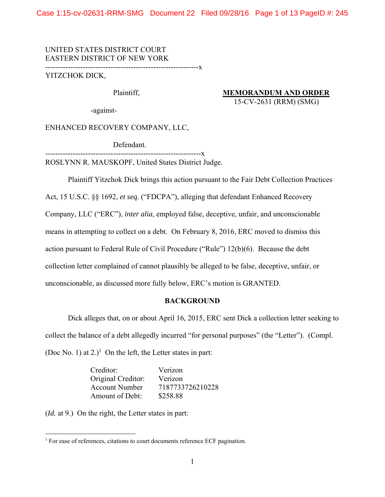Case 1:15-cv-02631-RRM-SMG Document 22 Filed 09/28/16 Page 1 of 13 PageID #: 245

UNITED STATES DISTRICT COURT EASTERN DISTRICT OF NEW YORK -------------------------------------------------------------x

YITZCHOK DICK,

Plaintiff, **MEMORANDUM AND ORDER** 15-CV-2631 (RRM) (SMG)

-against-

ENHANCED RECOVERY COMPANY, LLC,

Defendant.

--------------------------------------------------------------x ROSLYNN R. MAUSKOPF, United States District Judge.

Plaintiff Yitzchok Dick brings this action pursuant to the Fair Debt Collection Practices

Act, 15 U.S.C. §§ 1692, *et seq.* ("FDCPA"), alleging that defendant Enhanced Recovery

Company, LLC ("ERC"), *inter alia*, employed false, deceptive, unfair, and unconscionable

means in attempting to collect on a debt. On February 8, 2016, ERC moved to dismiss this

action pursuant to Federal Rule of Civil Procedure ("Rule") 12(b)(6). Because the debt

collection letter complained of cannot plausibly be alleged to be false, deceptive, unfair, or

unconscionable, as discussed more fully below, ERC's motion is GRANTED.

# **BACKGROUND**

Dick alleges that, on or about April 16, 2015, ERC sent Dick a collection letter seeking to collect the balance of a debt allegedly incurred "for personal purposes" (the "Letter"). (Compl. (Doc No. 1) at 2.)<sup>1</sup> On the left, the Letter states in part:

| Creditor:             | Verizon          |
|-----------------------|------------------|
| Original Creditor:    | Verizon          |
| <b>Account Number</b> | 7187733726210228 |
| Amount of Debt:       | \$258.88         |

(*Id.* at 9.) On the right, the Letter states in part:

<sup>&</sup>lt;sup>1</sup> For ease of references, citations to court documents reference ECF pagination.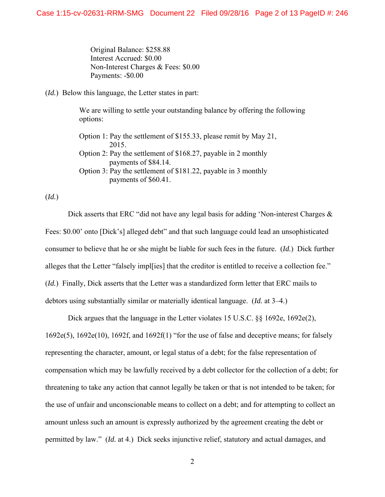Original Balance: \$258.88 Interest Accrued: \$0.00 Non-Interest Charges & Fees: \$0.00 Payments: -\$0.00

(*Id.*) Below this language, the Letter states in part:

We are willing to settle your outstanding balance by offering the following options:

Option 1: Pay the settlement of \$155.33, please remit by May 21, 2015. Option 2: Pay the settlement of \$168.27, payable in 2 monthly payments of \$84.14. Option 3: Pay the settlement of \$181.22, payable in 3 monthly payments of \$60.41.

(*Id.*)

Dick asserts that ERC "did not have any legal basis for adding 'Non-interest Charges & Fees: \$0.00' onto [Dick's] alleged debt" and that such language could lead an unsophisticated consumer to believe that he or she might be liable for such fees in the future. (*Id.*) Dick further alleges that the Letter "falsely impl[ies] that the creditor is entitled to receive a collection fee." (*Id.*) Finally, Dick asserts that the Letter was a standardized form letter that ERC mails to debtors using substantially similar or materially identical language. (*Id.* at 3–4.)

Dick argues that the language in the Letter violates 15 U.S.C.  $\S$  1692e, 1692e(2), 1692e(5), 1692e(10), 1692f, and 1692f(1) "for the use of false and deceptive means; for falsely representing the character, amount, or legal status of a debt; for the false representation of compensation which may be lawfully received by a debt collector for the collection of a debt; for threatening to take any action that cannot legally be taken or that is not intended to be taken; for the use of unfair and unconscionable means to collect on a debt; and for attempting to collect an amount unless such an amount is expressly authorized by the agreement creating the debt or permitted by law." (*Id.* at 4.) Dick seeks injunctive relief, statutory and actual damages, and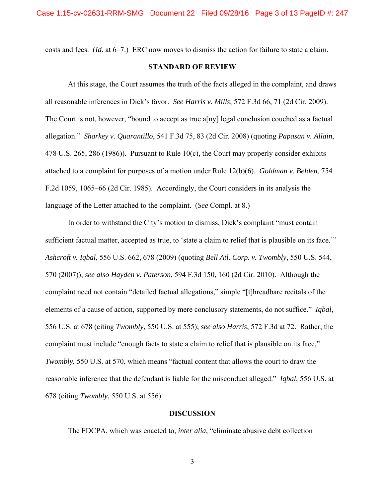costs and fees. (*Id*. at 6–7.) ERC now moves to dismiss the action for failure to state a claim.

# **STANDARD OF REVIEW**

At this stage, the Court assumes the truth of the facts alleged in the complaint, and draws all reasonable inferences in Dick's favor. *See Harris v. Mills*, 572 F.3d 66, 71 (2d Cir. 2009). The Court is not, however, "bound to accept as true a[ny] legal conclusion couched as a factual allegation." *Sharkey v. Quarantillo*, 541 F.3d 75, 83 (2d Cir. 2008) (quoting *Papasan v. Allain*, 478 U.S. 265, 286 (1986)). Pursuant to Rule 10(c), the Court may properly consider exhibits attached to a complaint for purposes of a motion under Rule 12(b)(6). *Goldman v. Belden*, 754 F.2d 1059, 1065–66 (2d Cir. 1985). Accordingly, the Court considers in its analysis the language of the Letter attached to the complaint. (*See* Compl. at 8.)

In order to withstand the City's motion to dismiss, Dick's complaint "must contain sufficient factual matter, accepted as true, to 'state a claim to relief that is plausible on its face." *Ashcroft v. Iqbal*, 556 U.S. 662, 678 (2009) (quoting *Bell Atl. Corp. v. Twombly*, 550 U.S. 544, 570 (2007)); *see also Hayden v. Paterson*, 594 F.3d 150, 160 (2d Cir. 2010). Although the complaint need not contain "detailed factual allegations," simple "[t]hreadbare recitals of the elements of a cause of action, supported by mere conclusory statements, do not suffice." *Iqbal*, 556 U.S. at 678 (citing *Twombly*, 550 U.S. at 555); *see also Harris*, 572 F.3d at 72. Rather, the complaint must include "enough facts to state a claim to relief that is plausible on its face," *Twombly*, 550 U.S. at 570, which means "factual content that allows the court to draw the reasonable inference that the defendant is liable for the misconduct alleged." *Iqbal*, 556 U.S. at 678 (citing *Twombly*, 550 U.S. at 556).

## **DISCUSSION**

The FDCPA, which was enacted to, *inter alia*, "eliminate abusive debt collection

3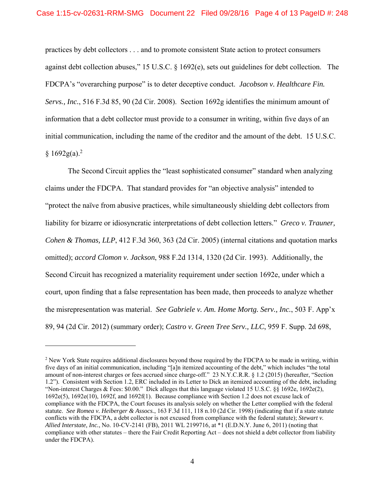practices by debt collectors . . . and to promote consistent State action to protect consumers against debt collection abuses," 15 U.S.C. § 1692(e), sets out guidelines for debt collection. The FDCPA's "overarching purpose" is to deter deceptive conduct. *Jacobson v. Healthcare Fin. Servs., Inc.*, 516 F.3d 85, 90 (2d Cir. 2008). Section 1692g identifies the minimum amount of information that a debt collector must provide to a consumer in writing, within five days of an initial communication, including the name of the creditor and the amount of the debt. 15 U.S.C.  $§ 1692g(a).^{2}$ 

 The Second Circuit applies the "least sophisticated consumer" standard when analyzing claims under the FDCPA. That standard provides for "an objective analysis" intended to "protect the naïve from abusive practices, while simultaneously shielding debt collectors from liability for bizarre or idiosyncratic interpretations of debt collection letters." *Greco v. Trauner, Cohen & Thomas, LLP*, 412 F.3d 360, 363 (2d Cir. 2005) (internal citations and quotation marks omitted); *accord Clomon v. Jackson*, 988 F.2d 1314, 1320 (2d Cir. 1993).Additionally, the Second Circuit has recognized a materiality requirement under section 1692e, under which a court, upon finding that a false representation has been made, then proceeds to analyze whether the misrepresentation was material. *See Gabriele v. Am. Home Mortg. Serv., Inc.*, 503 F. App'x 89, 94 (2d Cir. 2012) (summary order); *Castro v. Green Tree Serv., LLC*, 959 F. Supp. 2d 698,

 $\overline{a}$ 

<sup>&</sup>lt;sup>2</sup> New York State requires additional disclosures beyond those required by the FDCPA to be made in writing, within five days of an initial communication, including "[a]n itemized accounting of the debt," which includes "the total amount of non-interest charges or fees accrued since charge-off." 23 N.Y.C.R.R. § 1.2 (2015) (hereafter, "Section 1.2"). Consistent with Section 1.2, ERC included in its Letter to Dick an itemized accounting of the debt, including "Non-interest Charges & Fees: \$0.00." Dick alleges that this language violated 15 U.S.C. §§ 1692e, 1692e(2), 1692e(5), 1692e(10), 1692f, and 1692f(1). Because compliance with Section 1.2 does not excuse lack of compliance with the FDCPA, the Court focuses its analysis solely on whether the Letter complied with the federal statute. *See Romea v. Heiberger & Assocs.*, 163 F.3d 111, 118 n.10 (2d Cir. 1998) (indicating that if a state statute conflicts with the FDCPA, a debt collector is not excused from compliance with the federal statute); *Stewart v. Allied Interstate, Inc.*, No. 10-CV-2141 (FB), 2011 WL 2199716, at \*1 (E.D.N.Y. June 6, 2011) (noting that compliance with other statutes – there the Fair Credit Reporting Act – does not shield a debt collector from liability under the FDCPA).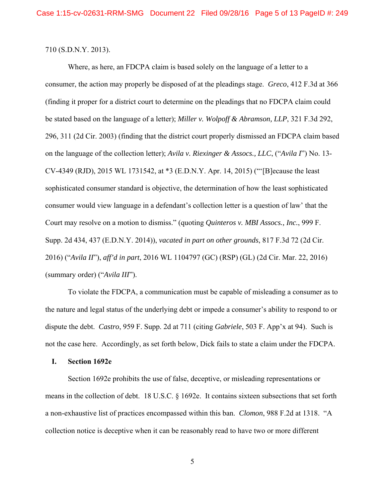710 (S.D.N.Y. 2013).

 Where, as here, an FDCPA claim is based solely on the language of a letter to a consumer, the action may properly be disposed of at the pleadings stage. *Greco*, 412 F.3d at 366 (finding it proper for a district court to determine on the pleadings that no FDCPA claim could be stated based on the language of a letter); *Miller v. Wolpoff & Abramson, LLP*, 321 F.3d 292, 296, 311 (2d Cir. 2003) (finding that the district court properly dismissed an FDCPA claim based on the language of the collection letter); *Avila v. Riexinger & Assocs., LLC*, ("*Avila I*") No. 13- CV-4349 (RJD), 2015 WL 1731542, at \*3 (E.D.N.Y. Apr. 14, 2015) ("'[B]ecause the least sophisticated consumer standard is objective, the determination of how the least sophisticated consumer would view language in a defendant's collection letter is a question of law' that the Court may resolve on a motion to dismiss." (quoting *Quinteros v. MBI Assocs., Inc.*, 999 F. Supp. 2d 434, 437 (E.D.N.Y. 2014)), *vacated in part on other grounds*, 817 F.3d 72 (2d Cir. 2016) ("*Avila II*"), *aff'd in part*, 2016 WL 1104797 (GC) (RSP) (GL) (2d Cir. Mar. 22, 2016) (summary order) ("*Avila III*").

 To violate the FDCPA, a communication must be capable of misleading a consumer as to the nature and legal status of the underlying debt or impede a consumer's ability to respond to or dispute the debt. *Castro*, 959 F. Supp. 2d at 711 (citing *Gabriele*, 503 F. App'x at 94). Such is not the case here. Accordingly, as set forth below, Dick fails to state a claim under the FDCPA.

## **I. Section 1692e**

 Section 1692e prohibits the use of false, deceptive, or misleading representations or means in the collection of debt. 18 U.S.C. § 1692e. It contains sixteen subsections that set forth a non-exhaustive list of practices encompassed within this ban. *Clomon*, 988 F.2d at 1318. "A collection notice is deceptive when it can be reasonably read to have two or more different

5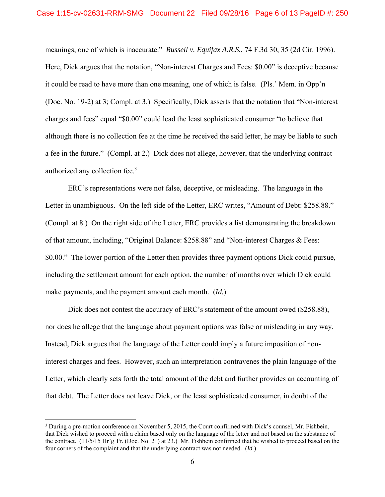meanings, one of which is inaccurate." *Russell v. Equifax A.R.S.*, 74 F.3d 30, 35 (2d Cir. 1996). Here, Dick argues that the notation, "Non-interest Charges and Fees: \$0.00" is deceptive because it could be read to have more than one meaning, one of which is false. (Pls.' Mem. in Opp'n (Doc. No. 19-2) at 3; Compl. at 3.) Specifically, Dick asserts that the notation that "Non-interest charges and fees" equal "\$0.00" could lead the least sophisticated consumer "to believe that although there is no collection fee at the time he received the said letter, he may be liable to such a fee in the future." (Compl. at 2.) Dick does not allege, however, that the underlying contract authorized any collection fee.<sup>3</sup>

 ERC's representations were not false, deceptive, or misleading. The language in the Letter in unambiguous. On the left side of the Letter, ERC writes, "Amount of Debt: \$258.88." (Compl. at 8.) On the right side of the Letter, ERC provides a list demonstrating the breakdown of that amount, including, "Original Balance: \$258.88" and "Non-interest Charges & Fees: \$0.00." The lower portion of the Letter then provides three payment options Dick could pursue, including the settlement amount for each option, the number of months over which Dick could make payments, and the payment amount each month. (*Id.*)

Dick does not contest the accuracy of ERC's statement of the amount owed (\$258.88), nor does he allege that the language about payment options was false or misleading in any way. Instead, Dick argues that the language of the Letter could imply a future imposition of noninterest charges and fees. However, such an interpretation contravenes the plain language of the Letter, which clearly sets forth the total amount of the debt and further provides an accounting of that debt. The Letter does not leave Dick, or the least sophisticated consumer, in doubt of the

 $\overline{a}$ 

<sup>&</sup>lt;sup>3</sup> During a pre-motion conference on November 5, 2015, the Court confirmed with Dick's counsel, Mr. Fishbein, that Dick wished to proceed with a claim based only on the language of the letter and not based on the substance of the contract. (11/5/15 Hr'g Tr. (Doc. No. 21) at 23.) Mr. Fishbein confirmed that he wished to proceed based on the four corners of the complaint and that the underlying contract was not needed. (*Id.*)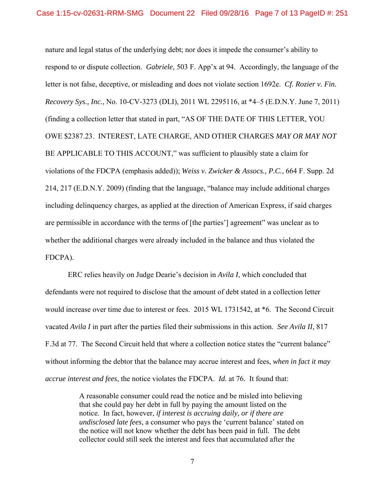nature and legal status of the underlying debt; nor does it impede the consumer's ability to respond to or dispute collection. *Gabriele*, 503 F. App'x at 94. Accordingly, the language of the letter is not false, deceptive, or misleading and does not violate section 1692e. *Cf. Rozier v. Fin. Recovery Sys., Inc.*, No. 10-CV-3273 (DLI), 2011 WL 2295116, at \*4–5 (E.D.N.Y. June 7, 2011) (finding a collection letter that stated in part, "AS OF THE DATE OF THIS LETTER, YOU OWE \$2387.23. INTEREST, LATE CHARGE, AND OTHER CHARGES *MAY OR MAY NOT* BE APPLICABLE TO THIS ACCOUNT," was sufficient to plausibly state a claim for violations of the FDCPA (emphasis added)); *Weiss v. Zwicker & Assocs., P.C.*, 664 F. Supp. 2d 214, 217 (E.D.N.Y. 2009) (finding that the language, "balance may include additional charges including delinquency charges, as applied at the direction of American Express, if said charges are permissible in accordance with the terms of [the parties'] agreement" was unclear as to whether the additional charges were already included in the balance and thus violated the FDCPA).

 ERC relies heavily on Judge Dearie's decision in *Avila I*, which concluded that defendants were not required to disclose that the amount of debt stated in a collection letter would increase over time due to interest or fees. 2015 WL 1731542, at \*6. The Second Circuit vacated *Avila I* in part after the parties filed their submissions in this action. *See Avila II*, 817 F.3d at 77. The Second Circuit held that where a collection notice states the "current balance" without informing the debtor that the balance may accrue interest and fees, *when in fact it may accrue interest and fees*, the notice violates the FDCPA. *Id.* at 76. It found that:

> A reasonable consumer could read the notice and be misled into believing that she could pay her debt in full by paying the amount listed on the notice. In fact, however, *if interest is accruing daily, or if there are undisclosed late fees*, a consumer who pays the 'current balance' stated on the notice will not know whether the debt has been paid in full. The debt collector could still seek the interest and fees that accumulated after the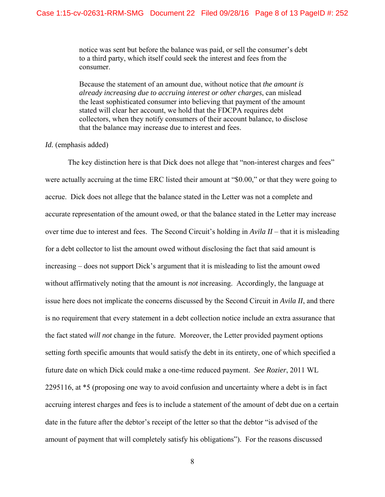notice was sent but before the balance was paid, or sell the consumer's debt to a third party, which itself could seek the interest and fees from the consumer.

Because the statement of an amount due, without notice that *the amount is already increasing due to accruing interest or other charges*, can mislead the least sophisticated consumer into believing that payment of the amount stated will clear her account, we hold that the FDCPA requires debt collectors, when they notify consumers of their account balance, to disclose that the balance may increase due to interest and fees.

## *Id.* (emphasis added)

 The key distinction here is that Dick does not allege that "non-interest charges and fees" were actually accruing at the time ERC listed their amount at "\$0.00," or that they were going to accrue. Dick does not allege that the balance stated in the Letter was not a complete and accurate representation of the amount owed, or that the balance stated in the Letter may increase over time due to interest and fees. The Second Circuit's holding in *Avila II* – that it is misleading for a debt collector to list the amount owed without disclosing the fact that said amount is increasing – does not support Dick's argument that it is misleading to list the amount owed without affirmatively noting that the amount is *not* increasing. Accordingly, the language at issue here does not implicate the concerns discussed by the Second Circuit in *Avila II*, and there is no requirement that every statement in a debt collection notice include an extra assurance that the fact stated *will not* change in the future. Moreover, the Letter provided payment options setting forth specific amounts that would satisfy the debt in its entirety, one of which specified a future date on which Dick could make a one-time reduced payment. *See Rozier*, 2011 WL 2295116, at \*5 (proposing one way to avoid confusion and uncertainty where a debt is in fact accruing interest charges and fees is to include a statement of the amount of debt due on a certain date in the future after the debtor's receipt of the letter so that the debtor "is advised of the amount of payment that will completely satisfy his obligations"). For the reasons discussed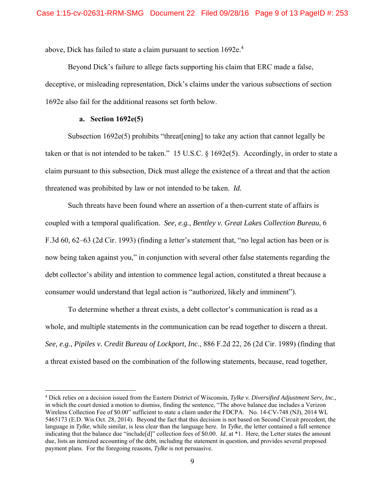above, Dick has failed to state a claim pursuant to section 1692e.<sup>4</sup>

 Beyond Dick's failure to allege facts supporting his claim that ERC made a false, deceptive, or misleading representation, Dick's claims under the various subsections of section 1692e also fail for the additional reasons set forth below.

# **a. Section 1692e(5)**

 $\overline{a}$ 

Subsection 1692e(5) prohibits "threat [ening] to take any action that cannot legally be taken or that is not intended to be taken." 15 U.S.C. § 1692e(5). Accordingly, in order to state a claim pursuant to this subsection, Dick must allege the existence of a threat and that the action threatened was prohibited by law or not intended to be taken. *Id.* 

 Such threats have been found where an assertion of a then-current state of affairs is coupled with a temporal qualification. *See, e.g.*, *Bentley v. Great Lakes Collection Bureau*, 6 F.3d 60, 62–63 (2d Cir. 1993) (finding a letter's statement that, "no legal action has been or is now being taken against you," in conjunction with several other false statements regarding the debt collector's ability and intention to commence legal action, constituted a threat because a consumer would understand that legal action is "authorized, likely and imminent").

To determine whether a threat exists, a debt collector's communication is read as a whole, and multiple statements in the communication can be read together to discern a threat. *See, e.g.*, *Pipiles v. Credit Bureau of Lockport, Inc.*, 886 F.2d 22, 26 (2d Cir. 1989) (finding that a threat existed based on the combination of the following statements, because, read together,

<sup>4</sup> Dick relies on a decision issued from the Eastern District of Wisconsin, *Tylke v. Diversified Adjustment Serv, Inc.*, in which the court denied a motion to dismiss, finding the sentence, "The above balance due includes a Verizon Wireless Collection Fee of \$0.00" sufficient to state a claim under the FDCPA. No. 14-CV-748 (NJ), 2014 WL 5465173 (E.D. Wis Oct. 28, 2014). Beyond the fact that this decision is not based on Second Circuit precedent, the language in *Tylke*, while similar, is less clear than the language here. In *Tylke*, the letter contained a full sentence indicating that the balance due "include[d]" collection fees of \$0.00. *Id.* at \*1. Here, the Letter states the amount due, lists an itemized accounting of the debt, including the statement in question, and provides several proposed payment plans. For the foregoing reasons, *Tylke* is not persuasive.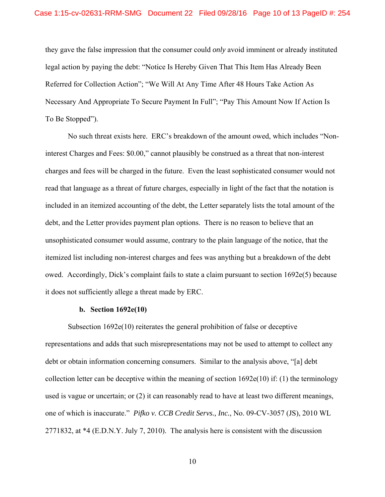they gave the false impression that the consumer could *only* avoid imminent or already instituted legal action by paying the debt: "Notice Is Hereby Given That This Item Has Already Been Referred for Collection Action"; "We Will At Any Time After 48 Hours Take Action As Necessary And Appropriate To Secure Payment In Full"; "Pay This Amount Now If Action Is To Be Stopped").

 No such threat exists here. ERC's breakdown of the amount owed, which includes "Noninterest Charges and Fees: \$0.00," cannot plausibly be construed as a threat that non-interest charges and fees will be charged in the future. Even the least sophisticated consumer would not read that language as a threat of future charges, especially in light of the fact that the notation is included in an itemized accounting of the debt, the Letter separately lists the total amount of the debt, and the Letter provides payment plan options. There is no reason to believe that an unsophisticated consumer would assume, contrary to the plain language of the notice, that the itemized list including non-interest charges and fees was anything but a breakdown of the debt owed. Accordingly, Dick's complaint fails to state a claim pursuant to section 1692e(5) because it does not sufficiently allege a threat made by ERC.

### **b. Section 1692e(10)**

 Subsection 1692e(10) reiterates the general prohibition of false or deceptive representations and adds that such misrepresentations may not be used to attempt to collect any debt or obtain information concerning consumers. Similar to the analysis above, "[a] debt collection letter can be deceptive within the meaning of section  $1692e(10)$  if: (1) the terminology used is vague or uncertain; or (2) it can reasonably read to have at least two different meanings, one of which is inaccurate." *Pifko v. CCB Credit Servs., Inc.*, No. 09-CV-3057 (JS), 2010 WL 2771832, at \*4 (E.D.N.Y. July 7, 2010). The analysis here is consistent with the discussion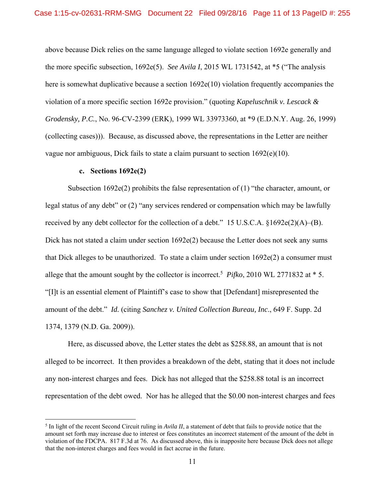above because Dick relies on the same language alleged to violate section 1692e generally and the more specific subsection, 1692e(5). *See Avila I*, 2015 WL 1731542, at \*5 ("The analysis here is somewhat duplicative because a section  $1692e(10)$  violation frequently accompanies the violation of a more specific section 1692e provision." (quoting *Kapeluschnik v. Lescack & Grodensky, P.C.*, No. 96-CV-2399 (ERK), 1999 WL 33973360, at \*9 (E.D.N.Y. Aug. 26, 1999) (collecting cases))). Because, as discussed above, the representations in the Letter are neither vague nor ambiguous, Dick fails to state a claim pursuant to section  $1692(e)(10)$ .

#### **c. Sections 1692e(2)**

 $\overline{a}$ 

 Subsection 1692e(2) prohibits the false representation of (1) "the character, amount, or legal status of any debt" or (2) "any services rendered or compensation which may be lawfully received by any debt collector for the collection of a debt." 15 U.S.C.A.  $$1692e(2)(A)–(B)$ . Dick has not stated a claim under section 1692e(2) because the Letter does not seek any sums that Dick alleges to be unauthorized. To state a claim under section 1692e(2) a consumer must allege that the amount sought by the collector is incorrect.<sup>5</sup> Pifko, 2010 WL 2771832 at  $*$  5. "[I]t is an essential element of Plaintiff's case to show that [Defendant] misrepresented the amount of the debt." *Id.* (citing *Sanchez v. United Collection Bureau, Inc*., 649 F. Supp. 2d 1374, 1379 (N.D. Ga. 2009)).

 Here, as discussed above, the Letter states the debt as \$258.88, an amount that is not alleged to be incorrect. It then provides a breakdown of the debt, stating that it does not include any non-interest charges and fees. Dick has not alleged that the \$258.88 total is an incorrect representation of the debt owed. Nor has he alleged that the \$0.00 non-interest charges and fees

 $<sup>5</sup>$  In light of the recent Second Circuit ruling in *Avila II*, a statement of debt that fails to provide notice that the</sup> amount set forth may increase due to interest or fees constitutes an incorrect statement of the amount of the debt in violation of the FDCPA. 817 F.3d at 76. As discussed above, this is inapposite here because Dick does not allege that the non-interest charges and fees would in fact accrue in the future.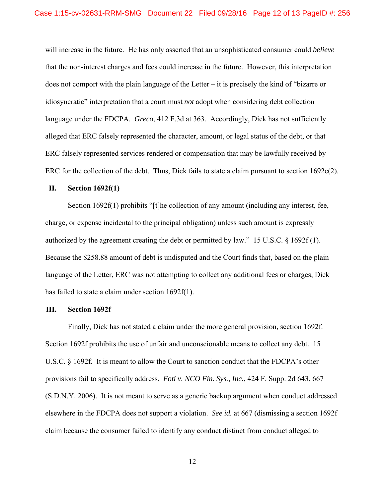will increase in the future. He has only asserted that an unsophisticated consumer could *believe*  that the non-interest charges and fees could increase in the future. However, this interpretation does not comport with the plain language of the Letter – it is precisely the kind of "bizarre or idiosyncratic" interpretation that a court must *not* adopt when considering debt collection language under the FDCPA. *Greco*, 412 F.3d at 363. Accordingly, Dick has not sufficiently alleged that ERC falsely represented the character, amount, or legal status of the debt, or that ERC falsely represented services rendered or compensation that may be lawfully received by ERC for the collection of the debt. Thus, Dick fails to state a claim pursuant to section 1692e(2).

### **II. Section 1692f(1)**

Section 1692f(1) prohibits "[t]he collection of any amount (including any interest, fee, charge, or expense incidental to the principal obligation) unless such amount is expressly authorized by the agreement creating the debt or permitted by law." 15 U.S.C. § 1692f (1). Because the \$258.88 amount of debt is undisputed and the Court finds that, based on the plain language of the Letter, ERC was not attempting to collect any additional fees or charges, Dick has failed to state a claim under section 1692f(1).

#### **III. Section 1692f**

Finally, Dick has not stated a claim under the more general provision, section 1692f. Section 1692f prohibits the use of unfair and unconscionable means to collect any debt. 15 U.S.C. § 1692f. It is meant to allow the Court to sanction conduct that the FDCPA's other provisions fail to specifically address. *Foti v. NCO Fin. Sys., Inc.*, 424 F. Supp. 2d 643, 667 (S.D.N.Y. 2006). It is not meant to serve as a generic backup argument when conduct addressed elsewhere in the FDCPA does not support a violation. *See id.* at 667 (dismissing a section 1692f claim because the consumer failed to identify any conduct distinct from conduct alleged to

12